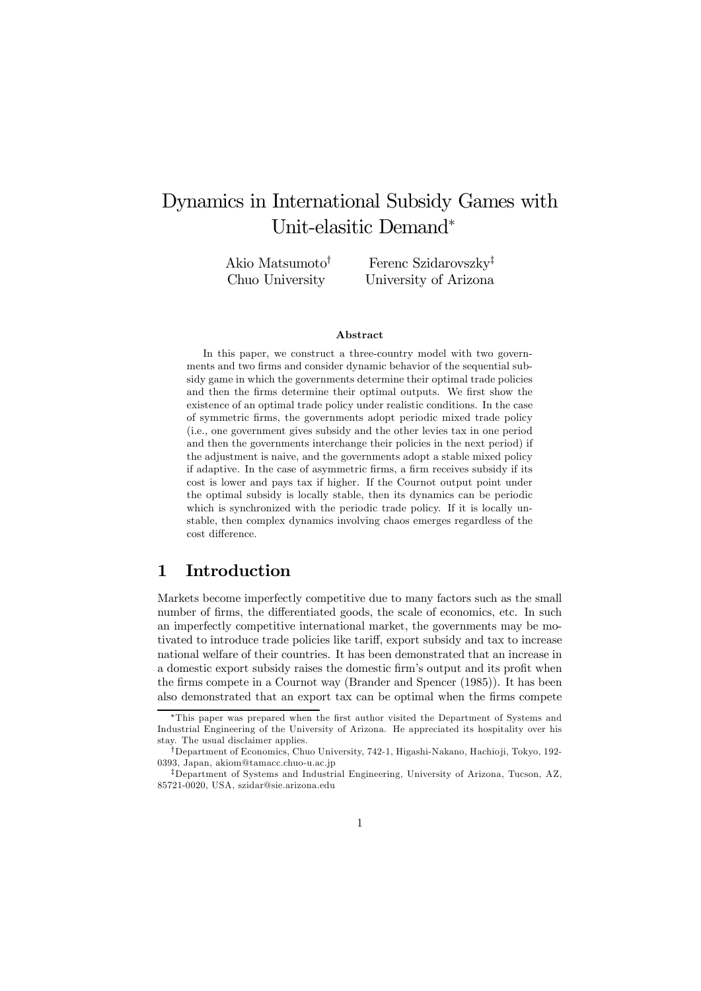# Dynamics in International Subsidy Games with Unit-elasitic Demand<sup>∗</sup>

Akio Matsumoto† Chuo University

Ferenc Szidarovszky‡ University of Arizona

#### Abstract

In this paper, we construct a three-country model with two governments and two firms and consider dynamic behavior of the sequential subsidy game in which the governments determine their optimal trade policies and then the firms determine their optimal outputs. We first show the existence of an optimal trade policy under realistic conditions. In the case of symmetric firms, the governments adopt periodic mixed trade policy (i.e., one government gives subsidy and the other levies tax in one period and then the governments interchange their policies in the next period) if the adjustment is naive, and the governments adopt a stable mixed policy if adaptive. In the case of asymmetric firms, a firm receives subsidy if its cost is lower and pays tax if higher. If the Cournot output point under the optimal subsidy is locally stable, then its dynamics can be periodic which is synchronized with the periodic trade policy. If it is locally unstable, then complex dynamics involving chaos emerges regardless of the cost difference.

### 1 Introduction

Markets become imperfectly competitive due to many factors such as the small number of firms, the differentiated goods, the scale of economics, etc. In such an imperfectly competitive international market, the governments may be motivated to introduce trade policies like tariff, export subsidy and tax to increase national welfare of their countries. It has been demonstrated that an increase in a domestic export subsidy raises the domestic firm's output and its profit when the firms compete in a Cournot way (Brander and Spencer (1985)). It has been also demonstrated that an export tax can be optimal when the firms compete

<sup>∗</sup>This paper was prepared when the first author visited the Department of Systems and Industrial Engineering of the University of Arizona. He appreciated its hospitality over his stay. The usual disclaimer applies.

<sup>†</sup>Department of Economics, Chuo University, 742-1, Higashi-Nakano, Hachio ji, Tokyo, 192- 0393, Japan, akiom@tamacc.chuo-u.ac.jp

<sup>‡</sup>Department of Systems and Industrial Engineering, University of Arizona, Tucson, AZ, 85721-0020, USA, szidar@sie.arizona.edu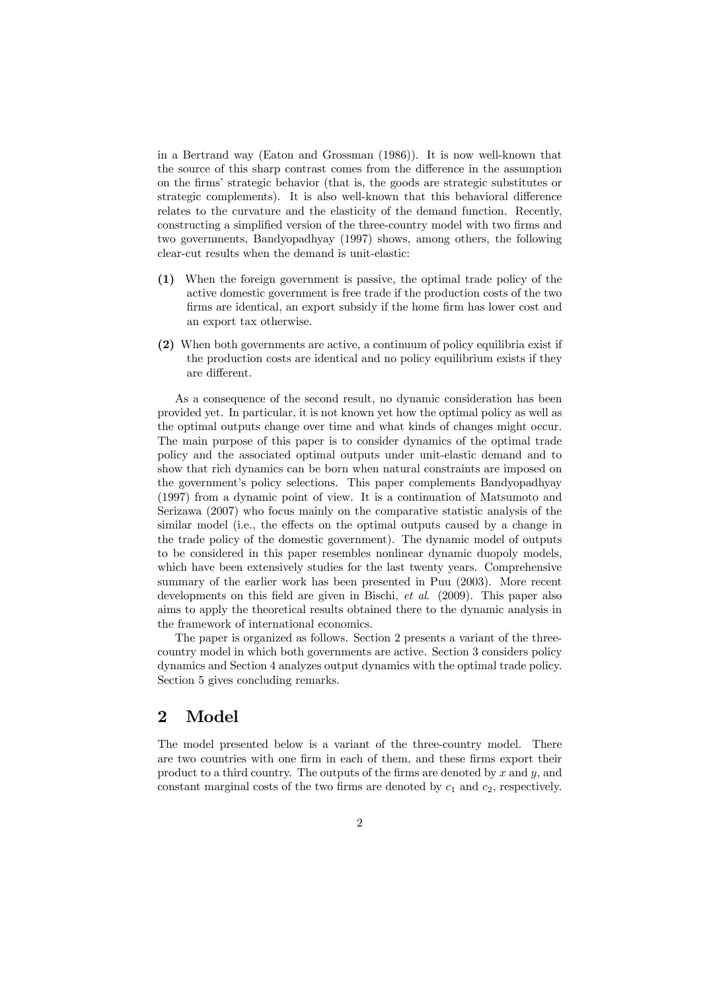in a Bertrand way (Eaton and Grossman (1986)). It is now well-known that the source of this sharp contrast comes from the difference in the assumption on the firms' strategic behavior (that is, the goods are strategic substitutes or strategic complements). It is also well-known that this behavioral difference relates to the curvature and the elasticity of the demand function. Recently, constructing a simplified version of the three-country model with two firms and two governments, Bandyopadhyay (1997) shows, among others, the following clear-cut results when the demand is unit-elastic:

- (1) When the foreign government is passive, the optimal trade policy of the active domestic government is free trade if the production costs of the two firms are identical, an export subsidy if the home firm has lower cost and an export tax otherwise.
- (2) When both governments are active, a continuum of policy equilibria exist if the production costs are identical and no policy equilibrium exists if they are different.

As a consequence of the second result, no dynamic consideration has been provided yet. In particular, it is not known yet how the optimal policy as well as the optimal outputs change over time and what kinds of changes might occur. The main purpose of this paper is to consider dynamics of the optimal trade policy and the associated optimal outputs under unit-elastic demand and to show that rich dynamics can be born when natural constraints are imposed on the government's policy selections. This paper complements Bandyopadhyay (1997) from a dynamic point of view. It is a continuation of Matsumoto and Serizawa (2007) who focus mainly on the comparative statistic analysis of the similar model (i.e., the effects on the optimal outputs caused by a change in the trade policy of the domestic government). The dynamic model of outputs to be considered in this paper resembles nonlinear dynamic duopoly models, which have been extensively studies for the last twenty years. Comprehensive summary of the earlier work has been presented in Puu (2003). More recent developments on this field are given in Bischi, et al. (2009). This paper also aims to apply the theoretical results obtained there to the dynamic analysis in the framework of international economics.

The paper is organized as follows. Section 2 presents a variant of the threecountry model in which both governments are active. Section 3 considers policy dynamics and Section 4 analyzes output dynamics with the optimal trade policy. Section 5 gives concluding remarks.

### 2 Model

The model presented below is a variant of the three-country model. There are two countries with one firm in each of them, and these firms export their product to a third country. The outputs of the firms are denoted by x and  $y$ , and constant marginal costs of the two firms are denoted by  $c_1$  and  $c_2$ , respectively.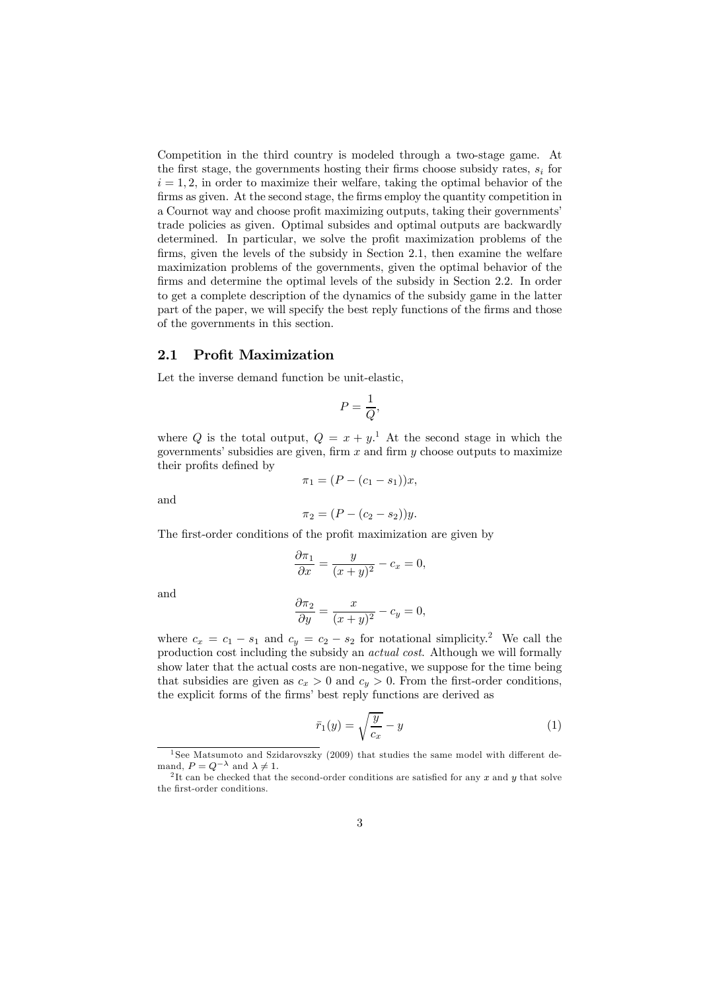Competition in the third country is modeled through a two-stage game. At the first stage, the governments hosting their firms choose subsidy rates,  $s_i$  for  $i = 1, 2$ , in order to maximize their welfare, taking the optimal behavior of the firms as given. At the second stage, the firms employ the quantity competition in a Cournot way and choose profit maximizing outputs, taking their governments' trade policies as given. Optimal subsides and optimal outputs are backwardly determined. In particular, we solve the profit maximization problems of the firms, given the levels of the subsidy in Section 2.1, then examine the welfare maximization problems of the governments, given the optimal behavior of the firms and determine the optimal levels of the subsidy in Section 2.2. In order to get a complete description of the dynamics of the subsidy game in the latter part of the paper, we will specify the best reply functions of the firms and those of the governments in this section.

#### 2.1 Profit Maximization

Let the inverse demand function be unit-elastic,

$$
P = \frac{1}{Q},
$$

where Q is the total output,  $Q = x + y<sup>1</sup>$ . At the second stage in which the governments' subsidies are given, firm  $x$  and firm  $y$  choose outputs to maximize their profits defined by

$$
\pi_1 = (P - (c_1 - s_1))x,
$$

and

$$
\pi_2 = (P - (c_2 - s_2))y.
$$

The first-order conditions of the profit maximization are given by

$$
\frac{\partial \pi_1}{\partial x} = \frac{y}{(x+y)^2} - c_x = 0,
$$

and

$$
\frac{\partial \pi_2}{\partial y} = \frac{x}{(x+y)^2} - c_y = 0,
$$

where  $c_x = c_1 - s_1$  and  $c_y = c_2 - s_2$  for notational simplicity.<sup>2</sup> We call the production cost including the subsidy an actual cost. Although we will formally show later that the actual costs are non-negative, we suppose for the time being that subsidies are given as  $c_x > 0$  and  $c_y > 0$ . From the first-order conditions, the explicit forms of the firms' best reply functions are derived as

$$
\bar{r}_1(y) = \sqrt{\frac{y}{c_x}} - y \tag{1}
$$

<sup>&</sup>lt;sup>1</sup> See Matsumoto and Szidarovszky (2009) that studies the same model with different de-<br>mand,  $P = Q^{-\lambda}$  and  $\lambda \neq 1$ .

<sup>&</sup>lt;sup>2</sup>It can be checked that the second-order conditions are satisfied for any x and y that solve the first-order conditions.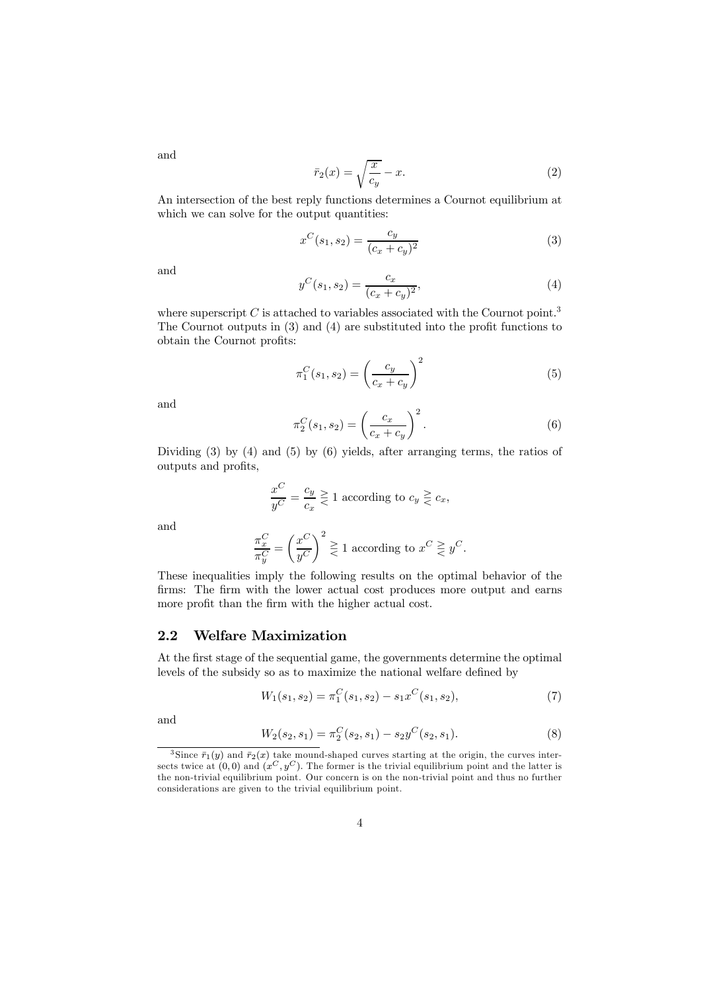$$
\bar{r}_2(x) = \sqrt{\frac{x}{c_y}} - x.
$$
\n(2)

An intersection of the best reply functions determines a Cournot equilibrium at which we can solve for the output quantities:

$$
x^{C}(s_1, s_2) = \frac{c_y}{(c_x + c_y)^2}
$$
 (3)

and

$$
y^{C}(s_1, s_2) = \frac{c_x}{(c_x + c_y)^2},
$$
\n(4)

where superscript  $C$  is attached to variables associated with the Cournot point.<sup>3</sup> The Cournot outputs in (3) and (4) are substituted into the profit functions to obtain the Cournot profits:

$$
\pi_1^C(s_1, s_2) = \left(\frac{c_y}{c_x + c_y}\right)^2 \tag{5}
$$

and

$$
\pi_2^C(s_1, s_2) = \left(\frac{c_x}{c_x + c_y}\right)^2.
$$
\n(6)

Dividing (3) by (4) and (5) by (6) yields, after arranging terms, the ratios of outputs and profits,

$$
\frac{x^C}{y^C} = \frac{c_y}{c_x} \ge 1
$$
 according to  $c_y \ge c_x$ ,

and

$$
\frac{\pi_x^C}{\pi_y^C} = \left(\frac{x^C}{y^C}\right)^2 \ge 1
$$
 according to  $x^C \ge y^C$ .

These inequalities imply the following results on the optimal behavior of the firms: The firm with the lower actual cost produces more output and earns more profit than the firm with the higher actual cost.

#### 2.2 Welfare Maximization

At the first stage of the sequential game, the governments determine the optimal levels of the subsidy so as to maximize the national welfare defined by

$$
W_1(s_1, s_2) = \pi_1^C(s_1, s_2) - s_1 x^C(s_1, s_2), \tag{7}
$$

and

$$
W_2(s_2, s_1) = \pi_2^C(s_2, s_1) - s_2 y^C(s_2, s_1). \tag{8}
$$

and

<sup>&</sup>lt;sup>3</sup>Since  $\bar{r}_1(y)$  and  $\bar{r}_2(x)$  take mound-shaped curves starting at the origin, the curves intersects twice at  $(0, 0)$  and  $(x^C, y^C)$ . The former is the trivial equilibrium point and the latter is the non-trivial equilibrium point. Our concern is on the non-trivial point and thus no further considerations are given to the trivial equilibrium point.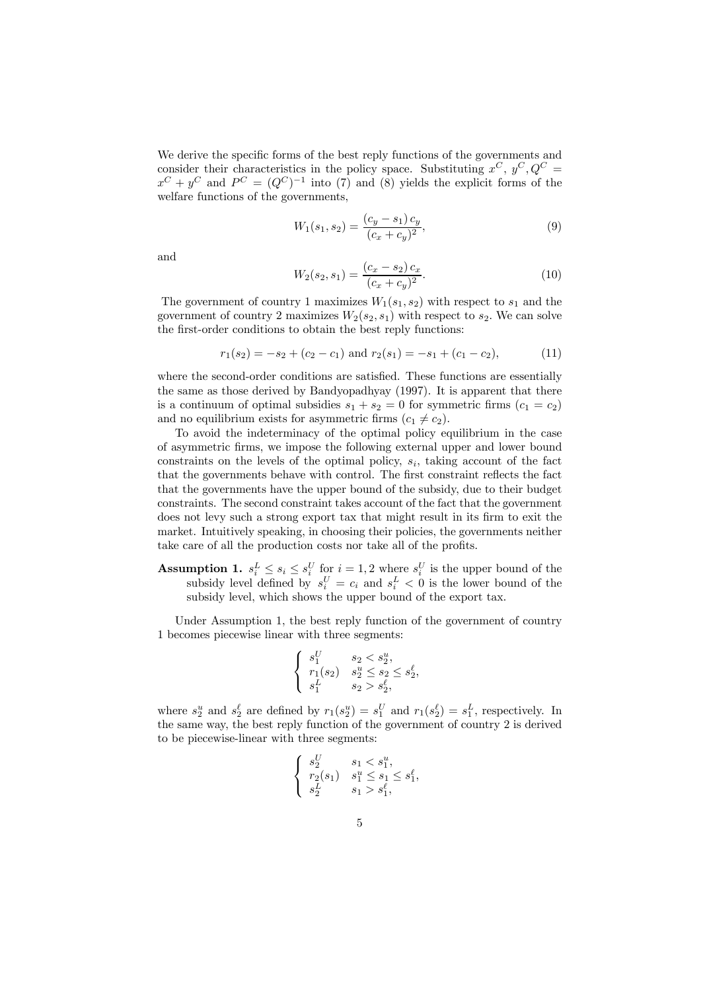We derive the specific forms of the best reply functions of the governments and consider their characteristics in the policy space. Substituting  $x^C$ ,  $y^C$ ,  $Q^C$  =  $x^C + y^C$  and  $P^C = (Q^C)^{-1}$  into (7) and (8) yields the explicit forms of the welfare functions of the governments,

$$
W_1(s_1, s_2) = \frac{(c_y - s_1) c_y}{(c_x + c_y)^2},
$$
\n(9)

and

$$
W_2(s_2, s_1) = \frac{(c_x - s_2) c_x}{(c_x + c_y)^2}.
$$
\n(10)

The government of country 1 maximizes  $W_1(s_1, s_2)$  with respect to  $s_1$  and the government of country 2 maximizes  $W_2(s_2, s_1)$  with respect to  $s_2$ . We can solve the first-order conditions to obtain the best reply functions:

$$
r_1(s_2) = -s_2 + (c_2 - c_1) \text{ and } r_2(s_1) = -s_1 + (c_1 - c_2),
$$
 (11)

where the second-order conditions are satisfied. These functions are essentially the same as those derived by Bandyopadhyay (1997). It is apparent that there is a continuum of optimal subsidies  $s_1 + s_2 = 0$  for symmetric firms  $(c_1 = c_2)$ and no equilibrium exists for asymmetric firms  $(c_1 \neq c_2)$ .

To avoid the indeterminacy of the optimal policy equilibrium in the case of asymmetric firms, we impose the following external upper and lower bound constraints on the levels of the optimal policy,  $s_i$ , taking account of the fact that the governments behave with control. The first constraint reflects the fact that the governments have the upper bound of the subsidy, due to their budget constraints. The second constraint takes account of the fact that the government does not levy such a strong export tax that might result in its firm to exit the market. Intuitively speaking, in choosing their policies, the governments neither take care of all the production costs nor take all of the profits.

**Assumption 1.**  $s_i^L \leq s_i \leq s_i^U$  for  $i = 1, 2$  where  $s_i^U$  is the upper bound of the subsidy level defined by  $s_i^U = c_i$  and  $s_i^L < 0$  is the lower bound of the subsidy level, which shows the upper bound of the export tax.

Under Assumption 1, the best reply function of the government of country 1 becomes piecewise linear with three segments:

$$
\left\{\begin{array}{ll} s^U_1 & s_2 < s^u_2, \\ r_1(s_2) & s^u_2 \leq s_2 \leq s^{\ell}_2, \\ s^L_1 & s_2 > s^{\ell}_2, \end{array}\right.
$$

where  $s_2^u$  and  $s_2^{\ell}$  are defined by  $r_1(s_2^u) = s_1^U$  and  $r_1(s_2^{\ell}) = s_1^L$ , respectively. In the same way, the best reply function of the government of country 2 is derived to be piecewise-linear with three segments:

$$
\left\{\begin{array}{ll} s^U_2 & s_1 < s^u_1, \\ r_2(s_1) & s^u_1 \leq s_1, \\ s^L_2 & s_1 > s^{\ell}_1, \end{array}\right.
$$

sU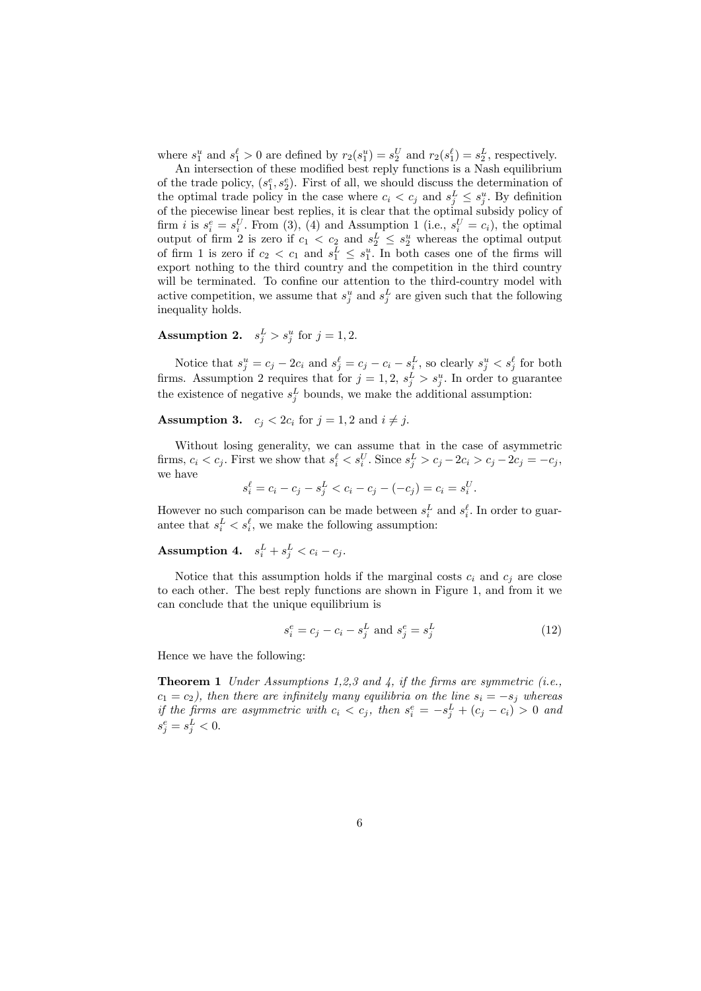where  $s_1^u$  and  $s_1^{\ell} > 0$  are defined by  $r_2(s_1^u) = s_2^U$  and  $r_2(s_1^{\ell}) = s_2^L$ , respectively.

An intersection of these modified best reply functions is a Nash equilibrium of the trade policy,  $(s_1^e, s_2^e)$ . First of all, we should discuss the determination of the optimal trade policy in the case where  $c_i < c_j$  and  $s_j^L \leq s_j^u$ . By definition of the piecewise linear best replies, it is clear that the optimal subsidy policy of firm *i* is  $s_i^e = s_i^U$ . From (3), (4) and Assumption 1 (i.e.,  $s_i^U = c_i$ ), the optimal output of firm 2 is zero if  $c_1 < c_2$  and  $s_2^L \leq s_2^u$  whereas the optimal output of firm 1 is zero if  $c_2 < c_1$  and  $s_1^L \leq s_1^u$ . In both cases one of the firms will export nothing to the third country and the competition in the third country will be terminated. To confine our attention to the third-country model with active competition, we assume that  $s_j^u$  and  $s_j^L$  are given such that the following inequality holds.

Assumption 2.  $s_j^L > s_j^u$  for  $j = 1, 2$ .

Notice that  $s_j^u = c_j - 2c_i$  and  $s_j^{\ell} = c_j - c_i - s_i^L$ , so clearly  $s_j^u < s_j^{\ell}$  for both firms. Assumption 2 requires that for  $j = 1, 2, s_j^L > s_j^u$ . In order to guarantee the existence of negative  $s_j^L$  bounds, we make the additional assumption:

**Assumption 3.**  $c_i < 2c_i$  for  $j = 1, 2$  and  $i \neq j$ .

Without losing generality, we can assume that in the case of asymmetric firms,  $c_i < c_j$ . First we show that  $s_i^{\ell} < s_i^U$ . Since  $s_j^L > c_j - 2c_i > c_j - 2c_j = -c_j$ , we have

$$
s_i^{\ell} = c_i - c_j - s_j^{\ell} < c_i - c_j - (-c_j) = c_i = s_i^{\ell}.
$$

However no such comparison can be made between  $s_i^L$  and  $s_i^{\ell}$ . In order to guarantee that  $s_i^L < s_i^{\ell}$ , we make the following assumption:

Assumption 4.  $s_i^L + s_j^L < c_i - c_j$ .

Notice that this assumption holds if the marginal costs  $c_i$  and  $c_j$  are close to each other. The best reply functions are shown in Figure 1, and from it we can conclude that the unique equilibrium is

$$
s_i^e = c_j - c_i - s_j^L \text{ and } s_j^e = s_j^L \tag{12}
$$

Hence we have the following:

**Theorem 1** Under Assumptions 1,2,3 and 4, if the firms are symmetric (i.e.,  $c_1 = c_2$ ), then there are infinitely many equilibria on the line  $s_i = -s_j$  whereas if the firms are asymmetric with  $c_i < c_j$ , then  $s_i^e = -s_j^L + (c_j - c_i) > 0$  and  $s_j^e = s_j^L < 0.$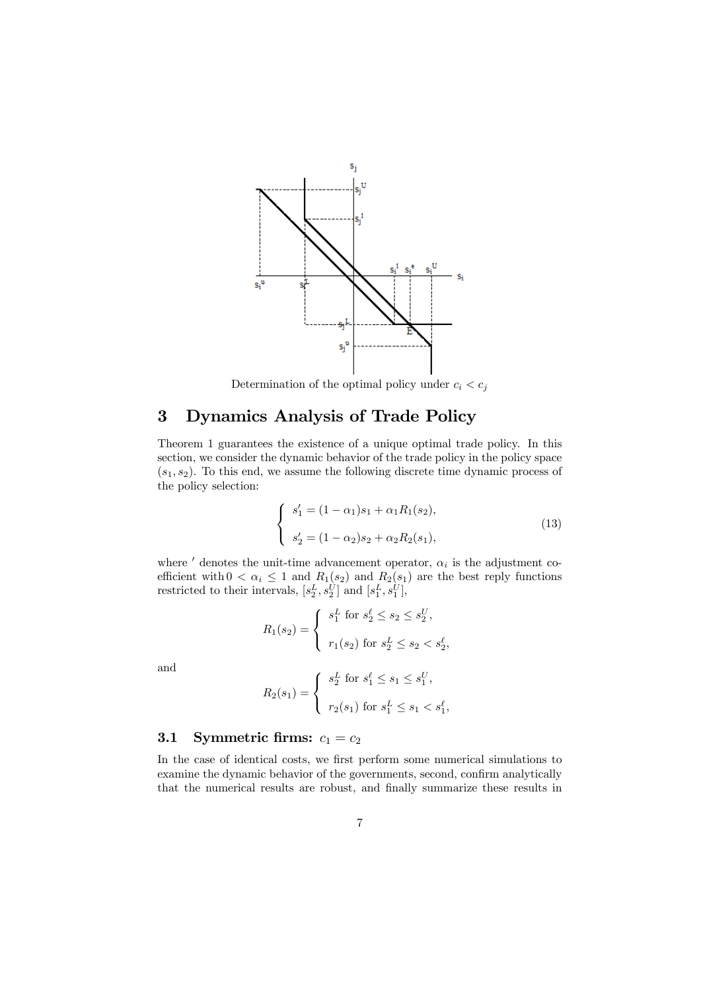

Determination of the optimal policy under  $c_i < c_j$ 

# 3 Dynamics Analysis of Trade Policy

Theorem 1 guarantees the existence of a unique optimal trade policy. In this section, we consider the dynamic behavior of the trade policy in the policy space  $(s_1, s_2)$ . To this end, we assume the following discrete time dynamic process of the policy selection:

$$
\begin{cases}\ns'_1 = (1 - \alpha_1)s_1 + \alpha_1 R_1(s_2), \\
s'_2 = (1 - \alpha_2)s_2 + \alpha_2 R_2(s_1),\n\end{cases}
$$
\n(13)

where  $'$  denotes the unit-time advancement operator,  $\alpha_i$  is the adjustment coefficient with  $0 < \alpha_i \leq 1$  and  $R_1(s_2)$  and  $R_2(s_1)$  are the best reply functions restricted to their intervals,  $[s_2^L, s_2^U]$  and  $[s_1^L, s_1^U]$ ,

$$
R_1(s_2) = \begin{cases} s_1^L \text{ for } s_2^{\ell} \le s_2 \le s_2^U, \\ r_1(s_2) \text{ for } s_2^L \le s_2 < s_2^{\ell}, \end{cases}
$$

and

$$
R_2(s_1) = \begin{cases} s_2^L \text{ for } s_1^{\ell} \le s_1 \le s_1^U, \\ r_2(s_1) \text{ for } s_1^L \le s_1 < s_1^{\ell}, \end{cases}
$$

### 3.1 Symmetric firms:  $c_1 = c_2$

In the case of identical costs, we first perform some numerical simulations to examine the dynamic behavior of the governments, second, confirm analytically that the numerical results are robust, and finally summarize these results in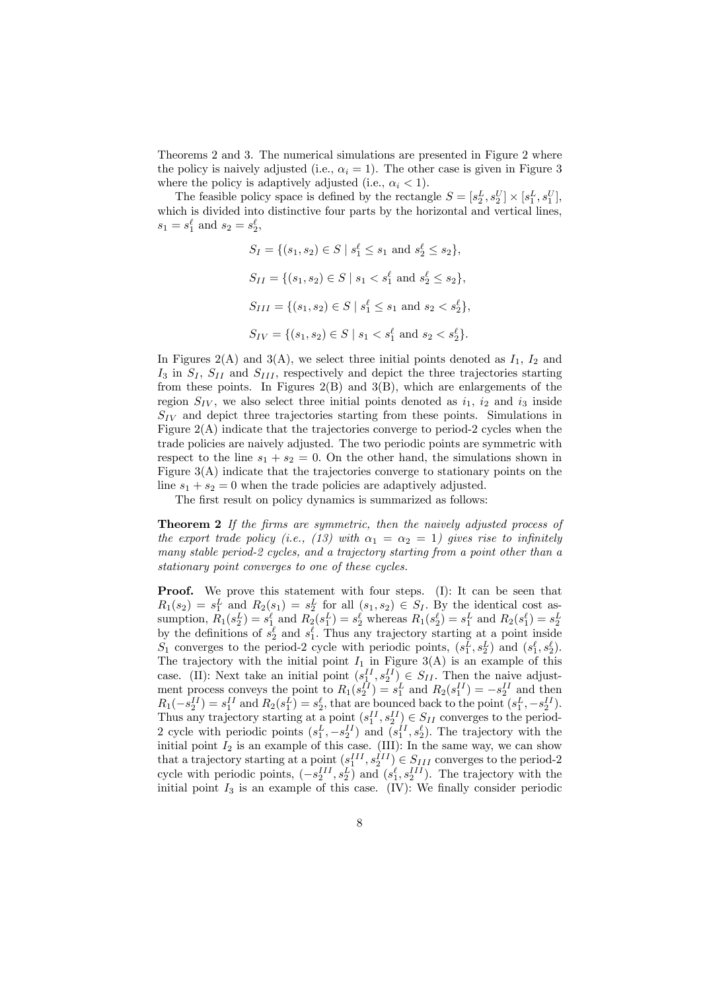Theorems 2 and 3. The numerical simulations are presented in Figure 2 where the policy is naively adjusted (i.e.,  $\alpha_i = 1$ ). The other case is given in Figure 3 where the policy is adaptively adjusted (i.e.,  $\alpha_i < 1$ ).

The feasible policy space is defined by the rectangle  $S = [s_2^L, s_2^U] \times [s_1^L, s_1^U]$ , which is divided into distinctive four parts by the horizontal and vertical lines,  $s_1 = s_1^{\ell}$  and  $s_2 = s_2^{\ell}$ ,

$$
S_I = \{(s_1, s_2) \in S \mid s_1^{\ell} \le s_1 \text{ and } s_2^{\ell} \le s_2\},\
$$
  
\n
$$
S_{II} = \{(s_1, s_2) \in S \mid s_1 < s_1^{\ell} \text{ and } s_2^{\ell} \le s_2\},\
$$
  
\n
$$
S_{III} = \{(s_1, s_2) \in S \mid s_1^{\ell} \le s_1 \text{ and } s_2 < s_2^{\ell}\},\
$$
  
\n
$$
S_{IV} = \{(s_1, s_2) \in S \mid s_1 < s_1^{\ell} \text{ and } s_2 < s_2^{\ell}\}.
$$

In Figures 2(A) and 3(A), we select three initial points denoted as  $I_1$ ,  $I_2$  and  $I_3$  in  $S_I$ ,  $S_{II}$  and  $S_{III}$ , respectively and depict the three trajectories starting from these points. In Figures  $2(B)$  and  $3(B)$ , which are enlargements of the region  $S_{IV}$ , we also select three initial points denoted as  $i_1$ ,  $i_2$  and  $i_3$  inside  $S_{IV}$  and depict three trajectories starting from these points. Simulations in Figure 2(A) indicate that the trajectories converge to period-2 cycles when the trade policies are naively adjusted. The two periodic points are symmetric with respect to the line  $s_1 + s_2 = 0$ . On the other hand, the simulations shown in Figure  $3(A)$  indicate that the trajectories converge to stationary points on the line  $s_1 + s_2 = 0$  when the trade policies are adaptively adjusted.

The first result on policy dynamics is summarized as follows:

**Theorem 2** If the firms are symmetric, then the naively adjusted process of the export trade policy (i.e., (13) with  $\alpha_1 = \alpha_2 = 1$ ) gives rise to infinitely many stable period-2 cycles, and a trajectory starting from a point other than a stationary point converges to one of these cycles.

**Proof.** We prove this statement with four steps. (I): It can be seen that  $R_1(s_2) = s_1^L$  and  $R_2(s_1) = s_2^L$  for all  $(s_1, s_2) \in S_I$ . By the identical cost assumption,  $R_1(s_2^L) = s_1^{\ell}$  and  $R_2(s_1^L) = s_2^{\ell}$  whereas  $R_1(s_2^{\ell}) = s_1^L$  and  $R_2(s_1^{\ell}) = s_2^L$ <br>by the definitions of  $s_2^{\ell}$  and  $s_1^{\ell}$ . Thus any trajectory starting at a point inside  $S_1$  converges to the period-2 cycle with periodic points,  $(s_1^L, s_2^L)$  and  $(s_1^{\ell}, s_2^{\ell})$ . The trajectory with the initial point  $I_1$  in Figure 3(A) is an example of this case. (II): Next take an initial point  $(s_1^{II}, s_2^{II}) \in S_{II}$ . Then the naive adjustment process conveys the point to  $R_1(s_2^{II}) = s_1^L$  and  $R_2(s_1^{II}) = -s_2^{II}$  and then  $R_1(-s_2^{II}) = s_1^{II}$  and  $R_2(s_1^L) = s_2^{\ell}$ , that are bounced back to the point  $(s_1^L, -s_2^{II})$ . Thus any trajectory starting at a point  $(s_1^{II}, s_2^{II}) \in S_{II}$  converges to the period-2 cycle with periodic points  $(s_1^L, -s_2^H)$  and  $(s_1^H, s_2^{\ell})$ . The trajectory with the initial point  $I_2$  is an example of this case. (III): In the same way, we can show that a trajectory starting at a point  $(s_1^{III}, s_2^{III}) \in S_{III}$  converges to the period-2 cycle with periodic points,  $(-s_2^{III}, s_2^L)$  and  $(s_1^{\ell}, s_2^{III})$ . The trajectory with the initial point  $I_3$  is an example of this case. (IV): We finally consider periodic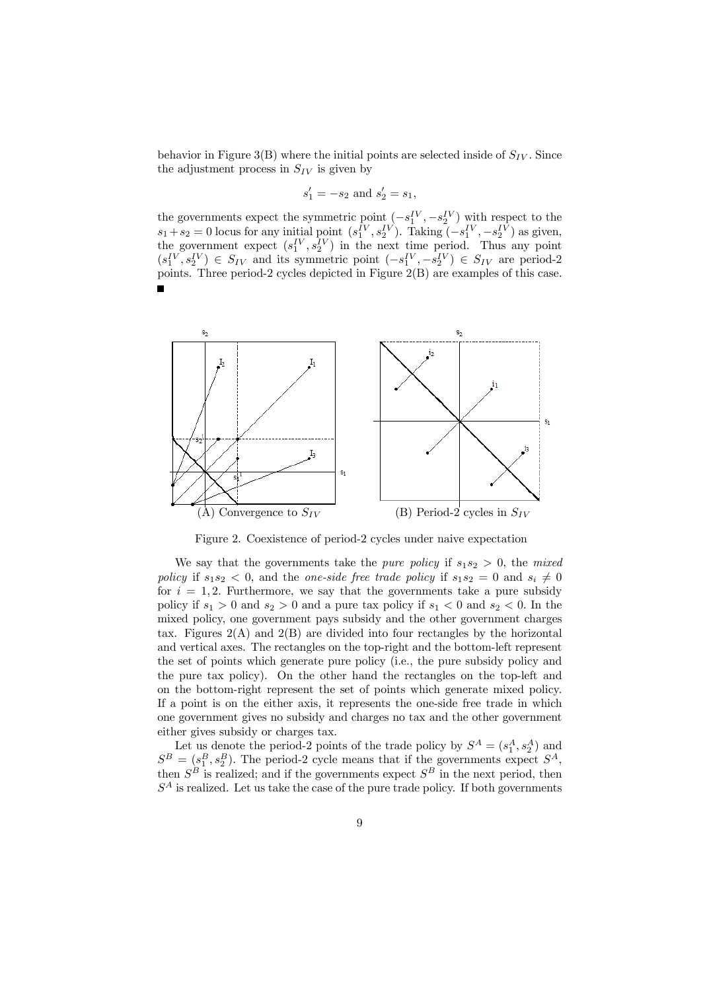behavior in Figure 3(B) where the initial points are selected inside of  $S_{IV}$ . Since the adjustment process in  $S_{IV}$  is given by

$$
s'_1 = -s_2
$$
 and  $s'_2 = s_1$ ,

the governments expect the symmetric point  $(-s_1^{\{V\}}, -s_2^{\{V\}})$  with respect to the  $s_1 + s_2 = 0$  locus for any initial point  $(s_1^{\{V\}}, s_2^{\{V\}})$ . Taking  $(-s_1^{\{V\}}, -s_2^{\{V\}})$  as given, the government expect  $(s_1^{\{V\}}, s_2^{\{V\}})$  in the next time period. Thus any point  $(s_1^{\{V\}}, s_2^{\{V\}}) \in S_{IV}$  and its symmetric point  $(-s_1^{\{V\}}, -s_2^{\{V\}}) \in S_{IV}$  are period-2 points. Three period-2 cycles depicted in Figure 2(B) are examples of this case. É



Figure 2. Coexistence of period-2 cycles under naive expectation

We say that the governments take the *pure policy* if  $s_1s_2 > 0$ , the *mixed* policy if  $s_1s_2 < 0$ , and the one-side free trade policy if  $s_1s_2 = 0$  and  $s_i \neq 0$ for  $i = 1, 2$ . Furthermore, we say that the governments take a pure subsidy policy if  $s_1 > 0$  and  $s_2 > 0$  and a pure tax policy if  $s_1 < 0$  and  $s_2 < 0$ . In the mixed policy, one government pays subsidy and the other government charges tax. Figures  $2(A)$  and  $2(B)$  are divided into four rectangles by the horizontal and vertical axes. The rectangles on the top-right and the bottom-left represent the set of points which generate pure policy (i.e., the pure subsidy policy and the pure tax policy). On the other hand the rectangles on the top-left and on the bottom-right represent the set of points which generate mixed policy. If a point is on the either axis, it represents the one-side free trade in which one government gives no subsidy and charges no tax and the other government either gives subsidy or charges tax.

Let us denote the period-2 points of the trade policy by  $S^A = (s_1^A, s_2^A)$  and  $S^B = (s_1^B, s_2^B)$ . The period-2 cycle means that if the governments expect  $S^A$ , then  $S^B$  is realized; and if the governments expect  $S^B$  in the next period, then  $S<sup>A</sup>$  is realized. Let us take the case of the pure trade policy. If both governments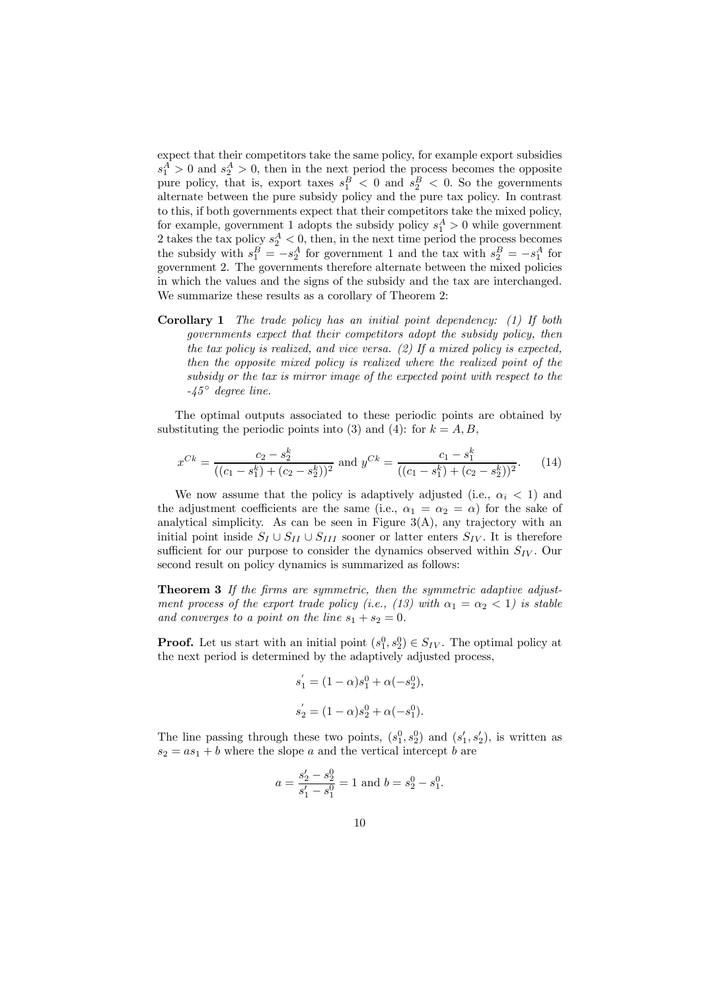expect that their competitors take the same policy, for example export subsidies  $s_1^A > 0$  and  $s_2^A > 0$ , then in the next period the process becomes the opposite pure policy, that is, export taxes  $s_1^B < 0$  and  $s_2^B < 0$ . So the governments alternate between the pure subsidy policy and the pure tax policy. In contrast to this, if both governments expect that their competitors take the mixed policy, for example, government 1 adopts the subsidy policy  $s_1^A > 0$  while government 2 takes the tax policy  $s_2^A < 0$ , then, in the next time period the process becomes the subsidy with  $s_1^B = -s_2^A$  for government 1 and the tax with  $s_2^B = -s_1^A$  for government 2. The governments therefore alternate between the mixed policies in which the values and the signs of the subsidy and the tax are interchanged. We summarize these results as a corollary of Theorem 2:

Corollary 1 The trade policy has an initial point dependency: (1) If both governments expect that their competitors adopt the subsidy policy, then the tax policy is realized, and vice versa.  $(2)$  If a mixed policy is expected, then the opposite mixed policy is realized where the realized point of the subsidy or the tax is mirror image of the expected point with respect to the  $-45^{\circ}$  degree line.

The optimal outputs associated to these periodic points are obtained by substituting the periodic points into (3) and (4): for  $k = A, B$ ,

$$
x^{Ck} = \frac{c_2 - s_2^k}{((c_1 - s_1^k) + (c_2 - s_2^k))^2} \text{ and } y^{Ck} = \frac{c_1 - s_1^k}{((c_1 - s_1^k) + (c_2 - s_2^k))^2}.
$$
 (14)

We now assume that the policy is adaptively adjusted (i.e.,  $\alpha_i < 1$ ) and the adjustment coefficients are the same (i.e.,  $\alpha_1 = \alpha_2 = \alpha$ ) for the sake of analytical simplicity. As can be seen in Figure  $3(A)$ , any trajectory with an initial point inside  $S_I \cup S_{II} \cup S_{III}$  sooner or latter enters  $S_{IV}$ . It is therefore sufficient for our purpose to consider the dynamics observed within  $S_{IV}$ . Our second result on policy dynamics is summarized as follows:

Theorem 3 If the firms are symmetric, then the symmetric adaptive adjustment process of the export trade policy (i.e., (13) with  $\alpha_1 = \alpha_2 < 1$ ) is stable and converges to a point on the line  $s_1 + s_2 = 0$ .

**Proof.** Let us start with an initial point  $(s_1^0, s_2^0) \in S_{IV}$ . The optimal policy at the next period is determined by the adaptively adjusted process,

$$
s'_1 = (1 - \alpha)s_1^0 + \alpha(-s_2^0),
$$
  
\n
$$
s'_2 = (1 - \alpha)s_2^0 + \alpha(-s_1^0).
$$

The line passing through these two points,  $(s_1^0, s_2^0)$  and  $(s_1', s_2')$ , is written as  $s_2 = as_1 + b$  where the slope a and the vertical intercept b are

$$
a = \frac{s'_2 - s_2^0}{s'_1 - s_1^0} = 1
$$
 and  $b = s_2^0 - s_1^0$ .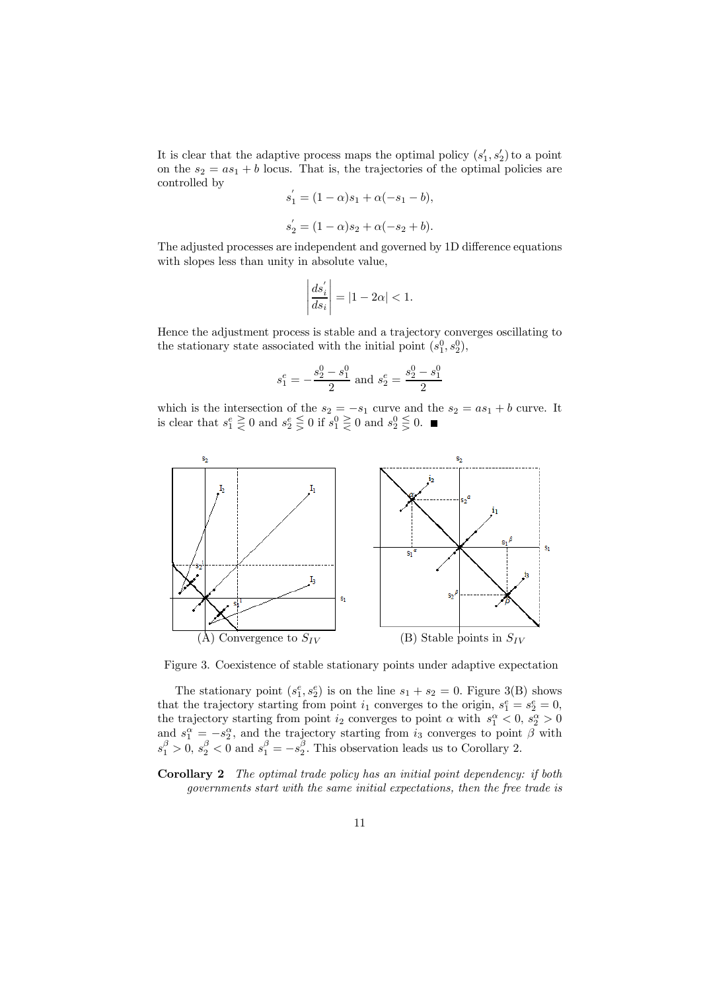It is clear that the adaptive process maps the optimal policy  $(s'_1, s'_2)$  to a point on the  $s_2 = as_1 + b$  locus. That is, the trajectories of the optimal policies are controlled by

$$
s'_1 = (1 - \alpha)s_1 + \alpha(-s_1 - b),
$$
  
\n
$$
s'_2 = (1 - \alpha)s_2 + \alpha(-s_2 + b).
$$

The adjusted processes are independent and governed by 1D difference equations with slopes less than unity in absolute value,

$$
\left|\frac{ds_i^{'}}{ds_i}\right|=|1-2\alpha|<1.
$$

Hence the adjustment process is stable and a trajectory converges oscillating to the stationary state associated with the initial point  $(s_1^0, s_2^0)$ ,

$$
s_1^e = -\frac{s_2^0 - s_1^0}{2}
$$
 and  $s_2^e = \frac{s_2^0 - s_1^0}{2}$ 

which is the intersection of the  $s_2 = -s_1$  curve and the  $s_2 = as_1 + b$  curve. It is clear that  $s_1^e \geq 0$  and  $s_2^e \leq 0$  if  $s_1^0 \geq 0$  and  $s_2^0 \leq 0$ .



Figure 3. Coexistence of stable stationary points under adaptive expectation

The stationary point  $(s_1^e, s_2^e)$  is on the line  $s_1 + s_2 = 0$ . Figure 3(B) shows that the trajectory starting from point  $i_1$  converges to the origin,  $s_1^e = s_2^e = 0$ , the trajectory starting from point  $i_2$  converges to point  $\alpha$  with  $s_1^{\alpha} < 0$ ,  $s_2^{\alpha} > 0$ and  $s_1^{\alpha} = -s_2^{\alpha}$ , and the trajectory starting from  $i_3$  converges to point  $\beta$  with  $s_1^{\beta} > 0$ ,  $s_2^{\beta} < 0$  and  $s_1^{\beta} = -s_2^{\beta}$ . This observation leads us to Corollary 2.

Corollary 2 The optimal trade policy has an initial point dependency: if both governments start with the same initial expectations, then the free trade is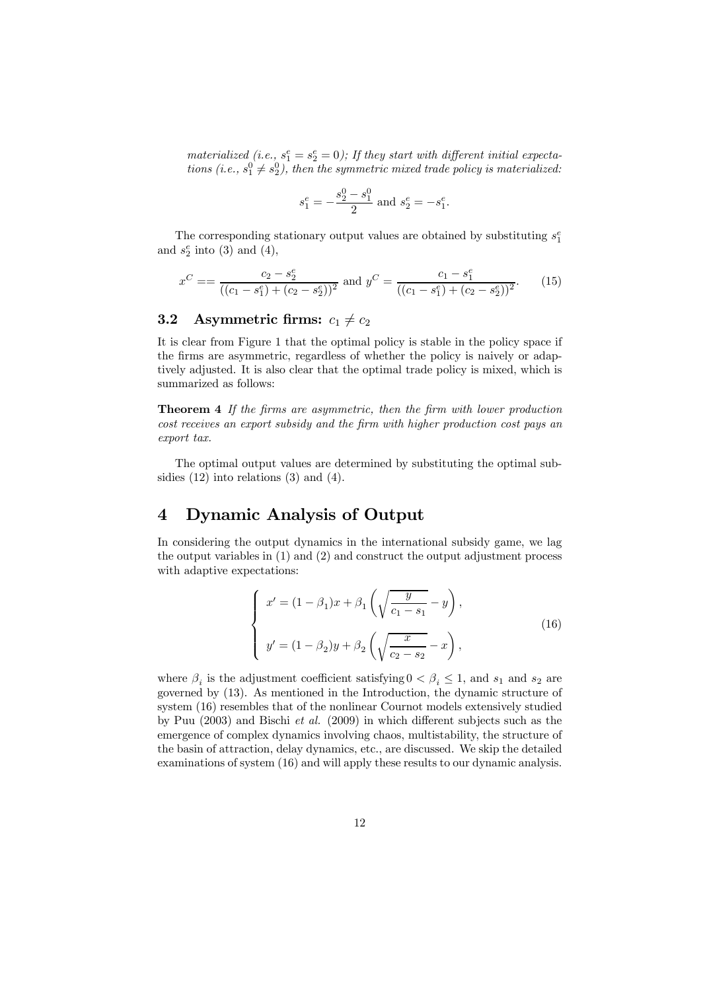materialized (i.e.,  $s_1^e = s_2^e = 0$ ); If they start with different initial expectations (i.e.,  $s_1^0 \neq s_2^0$ ), then the symmetric mixed trade policy is materialized:

$$
s_1^e = -\frac{s_2^0 - s_1^0}{2}
$$
 and  $s_2^e = -s_1^e$ .

The corresponding stationary output values are obtained by substituting  $s_1^e$ and  $s_2^e$  into (3) and (4),

$$
x^C = \frac{c_2 - s_2^e}{((c_1 - s_1^e) + (c_2 - s_2^e))^2} \text{ and } y^C = \frac{c_1 - s_1^e}{((c_1 - s_1^e) + (c_2 - s_2^e))^2}.
$$
 (15)

### 3.2 Asymmetric firms:  $c_1 \neq c_2$

It is clear from Figure 1 that the optimal policy is stable in the policy space if the firms are asymmetric, regardless of whether the policy is naively or adaptively adjusted. It is also clear that the optimal trade policy is mixed, which is summarized as follows:

Theorem 4 If the firms are asymmetric, then the firm with lower production cost receives an export subsidy and the firm with higher production cost pays an export tax.

The optimal output values are determined by substituting the optimal subsidies  $(12)$  into relations  $(3)$  and  $(4)$ .

# 4 Dynamic Analysis of Output

In considering the output dynamics in the international subsidy game, we lag the output variables in (1) and (2) and construct the output adjustment process with adaptive expectations:

$$
\begin{cases}\nx' = (1 - \beta_1)x + \beta_1 \left( \sqrt{\frac{y}{c_1 - s_1}} - y \right), \\
y' = (1 - \beta_2)y + \beta_2 \left( \sqrt{\frac{x}{c_2 - s_2}} - x \right),\n\end{cases}
$$
\n(16)

where  $\beta_i$  is the adjustment coefficient satisfying  $0 < \beta_i \leq 1$ , and  $s_1$  and  $s_2$  are governed by (13). As mentioned in the Introduction, the dynamic structure of system (16) resembles that of the nonlinear Cournot models extensively studied by Puu (2003) and Bischi et al. (2009) in which different subjects such as the emergence of complex dynamics involving chaos, multistability, the structure of the basin of attraction, delay dynamics, etc., are discussed. We skip the detailed examinations of system (16) and will apply these results to our dynamic analysis.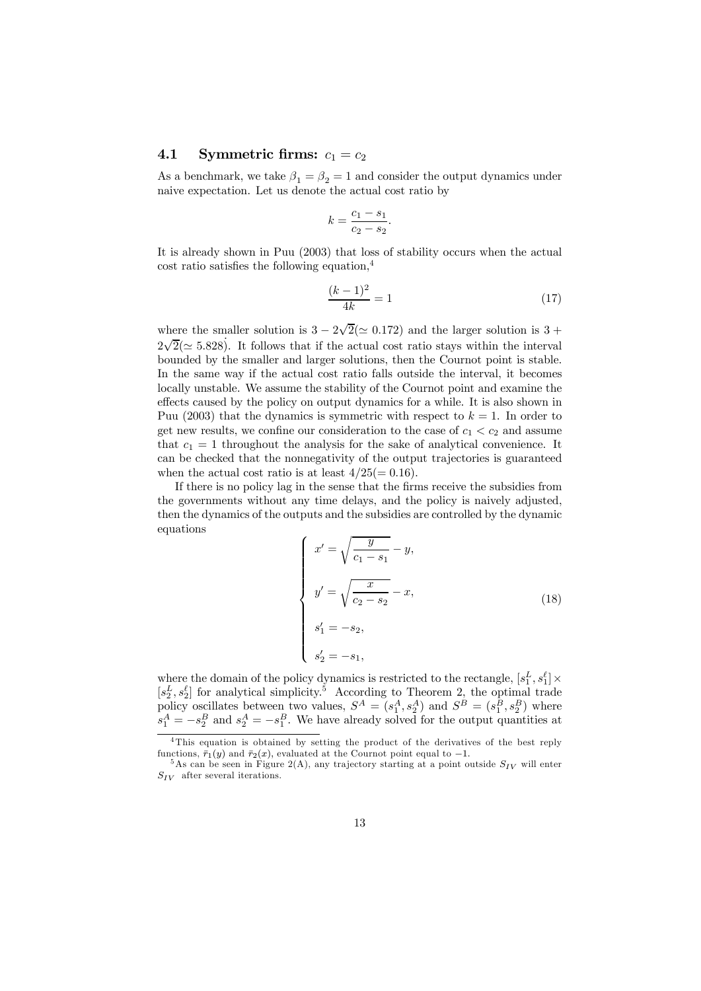#### 4.1 Symmetric firms:  $c_1 = c_2$

As a benchmark, we take  $\beta_1 = \beta_2 = 1$  and consider the output dynamics under naive expectation. Let us denote the actual cost ratio by

$$
k = \frac{c_1 - s_1}{c_2 - s_2}.
$$

It is already shown in Puu (2003) that loss of stability occurs when the actual cost ratio satisfies the following equation,<sup>4</sup>

$$
\frac{(k-1)^2}{4k} = 1\tag{17}
$$

where the smaller solution is  $3 - 2\sqrt{2} (\simeq 0.172)$  and the larger solution is  $3 + \frac{1}{2}$  $2\sqrt{2}(\simeq 5.828)$ . It follows that if the actual cost ratio stays within the interval bounded by the smaller and larger solutions, then the Cournot point is stable. In the same way if the actual cost ratio falls outside the interval, it becomes locally unstable. We assume the stability of the Cournot point and examine the effects caused by the policy on output dynamics for a while. It is also shown in Puu (2003) that the dynamics is symmetric with respect to  $k = 1$ . In order to get new results, we confine our consideration to the case of  $c_1 < c_2$  and assume that  $c_1 = 1$  throughout the analysis for the sake of analytical convenience. It can be checked that the nonnegativity of the output trajectories is guaranteed when the actual cost ratio is at least  $4/25(=0.16)$ .

If there is no policy lag in the sense that the firms receive the subsidies from the governments without any time delays, and the policy is naively adjusted, then the dynamics of the outputs and the subsidies are controlled by the dynamic equations

$$
\begin{cases}\nx' = \sqrt{\frac{y}{c_1 - s_1}} - y, \\
y' = \sqrt{\frac{x}{c_2 - s_2}} - x, \\
s'_1 = -s_2, \\
s'_2 = -s_1,\n\end{cases}
$$
\n(18)

where the domain of the policy dynamics is restricted to the rectangle,  $[s_1^L, s_1^{\ell}] \times$  $[s_2^L, s_2^{\ell}]$  for analytical simplicity.<sup>5</sup> According to Theorem 2, the optimal trade policy oscillates between two values,  $S^A = (s_1^A, s_2^A)$  and  $S^B = (s_1^B, s_2^B)$  where  $s_1^A = -s_2^B$  and  $s_2^A = -s_1^B$ . We have already solved for the output quantities at

<sup>&</sup>lt;sup>4</sup>This equation is obtained by setting the product of the derivatives of the best reply functions,  $\bar{r}_1(y)$  and  $\bar{r}_2(x)$ , evaluated at the Cournot point equal to  $-1$ .

 $5A_s$  can be seen in Figure 2(A), any trajectory starting at a point outside  $S_{IV}$  will enter  $S_{IV}$  after several iterations.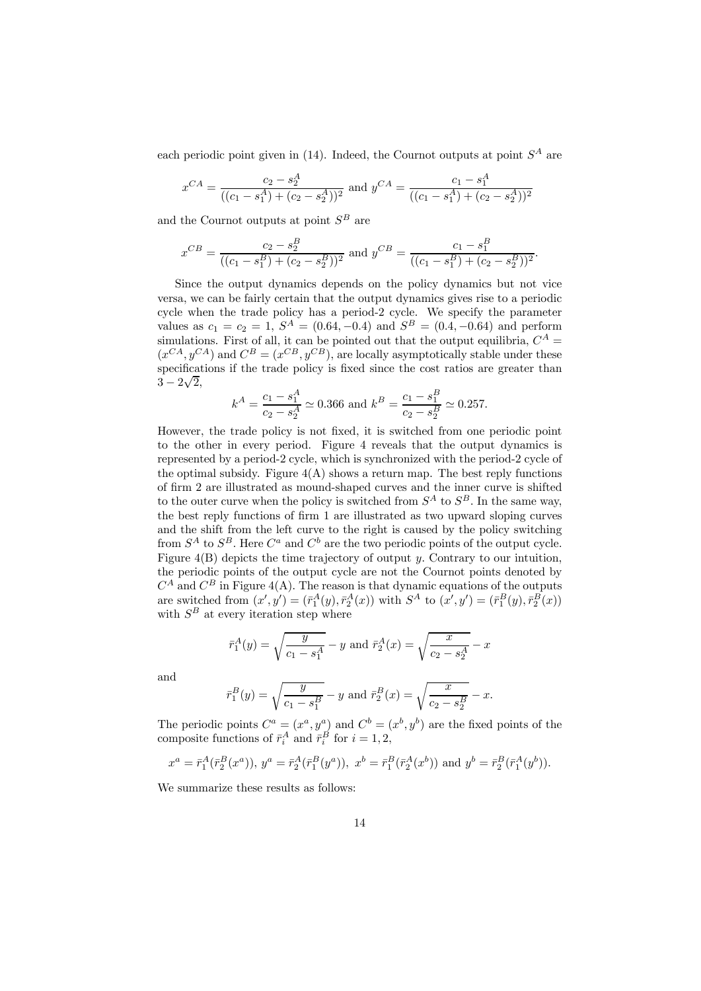each periodic point given in  $(14)$ . Indeed, the Cournot outputs at point  $S<sup>A</sup>$  are

$$
x^{CA} = \frac{c_2 - s_2^A}{((c_1 - s_1^A) + (c_2 - s_2^A))^2}
$$
 and 
$$
y^{CA} = \frac{c_1 - s_1^A}{((c_1 - s_1^A) + (c_2 - s_2^A))^2}
$$

and the Cournot outputs at point  $S^B$  are

$$
x^{CB} = \frac{c_2 - s_2^B}{((c_1 - s_1^B) + (c_2 - s_2^B))^2}
$$
 and 
$$
y^{CB} = \frac{c_1 - s_1^B}{((c_1 - s_1^B) + (c_2 - s_2^B))^2}.
$$

Since the output dynamics depends on the policy dynamics but not vice versa, we can be fairly certain that the output dynamics gives rise to a periodic cycle when the trade policy has a period-2 cycle. We specify the parameter values as  $c_1 = c_2 = 1$ ,  $S^A = (0.64, -0.4)$  and  $S^B = (0.4, -0.64)$  and perform simulations. First of all, it can be pointed out that the output equilibria,  $C^A$  =  $(x^{CA}, y^{CA})$  and  $C^B = (x^{CB}, y^{CB})$ , are locally asymptotically stable under these specifications if the trade policy is fixed since the cost ratios are greater than  $3 - 2\sqrt{2},$ 

$$
k^A = \frac{c_1 - s_1^A}{c_2 - s_2^A} \simeq 0.366
$$
 and  $k^B = \frac{c_1 - s_1^B}{c_2 - s_2^B} \simeq 0.257$ .

However, the trade policy is not fixed, it is switched from one periodic point to the other in every period. Figure 4 reveals that the output dynamics is represented by a period-2 cycle, which is synchronized with the period-2 cycle of the optimal subsidy. Figure  $4(A)$  shows a return map. The best reply functions of firm 2 are illustrated as mound-shaped curves and the inner curve is shifted to the outer curve when the policy is switched from  $S^A$  to  $S^B$ . In the same way, the best reply functions of firm 1 are illustrated as two upward sloping curves and the shift from the left curve to the right is caused by the policy switching from  $S^A$  to  $S^B$ . Here  $C^a$  and  $C^b$  are the two periodic points of the output cycle. Figure  $4(B)$  depicts the time trajectory of output y. Contrary to our intuition, the periodic points of the output cycle are not the Cournot points denoted by  $C^A$  and  $C^B$  in Figure 4(A). The reason is that dynamic equations of the outputs are switched from  $(x', y') = (\bar{r}_1^A(y), \bar{r}_2^A(x))$  with  $S^A$  to  $(x', y') = (\bar{r}_1^B(y), \bar{r}_2^B(x))$ with  $S^B$  at every iteration step where

$$
\bar{r}_1^A(y) = \sqrt{\frac{y}{c_1 - s_1^A}} - y
$$
 and  $\bar{r}_2^A(x) = \sqrt{\frac{x}{c_2 - s_2^A}} - x$ 

and

$$
\bar{r}_1^B(y) = \sqrt{\frac{y}{c_1 - s_1^B}} - y
$$
 and  $\bar{r}_2^B(x) = \sqrt{\frac{x}{c_2 - s_2^B}} - x$ .

The periodic points  $C^a = (x^a, y^a)$  and  $C^b = (x^b, y^b)$  are the fixed points of the composite functions of  $\bar{r}_i^A$  and  $\bar{r}_i^B$  for  $i = 1, 2$ ,

$$
x^a = \bar{r}_1^A(\bar{r}_2^B(x^a)), y^a = \bar{r}_2^A(\bar{r}_1^B(y^a)), x^b = \bar{r}_1^B(\bar{r}_2^A(x^b))
$$
 and  $y^b = \bar{r}_2^B(\bar{r}_1^A(y^b)).$ 

We summarize these results as follows: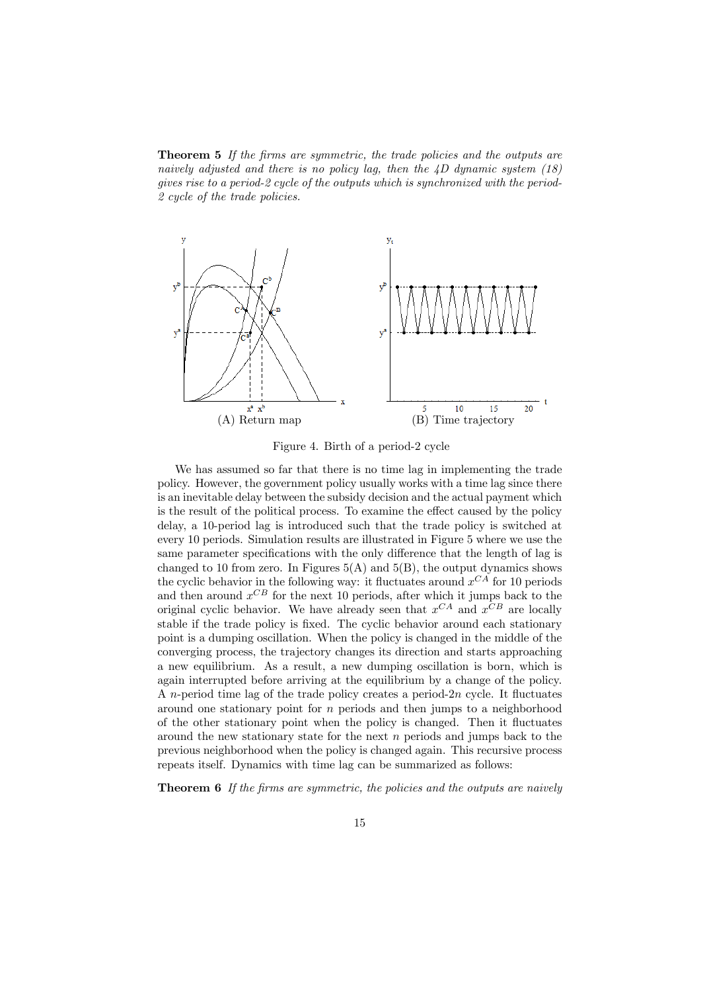**Theorem 5** If the firms are symmetric, the trade policies and the outputs are naively adjusted and there is no policy lag, then the  $\angle D$  dynamic system (18) gives rise to a period-2 cycle of the outputs which is synchronized with the period-2 cycle of the trade policies.



Figure 4. Birth of a period-2 cycle

We has assumed so far that there is no time lag in implementing the trade policy. However, the government policy usually works with a time lag since there is an inevitable delay between the subsidy decision and the actual payment which is the result of the political process. To examine the effect caused by the policy delay, a 10-period lag is introduced such that the trade policy is switched at every 10 periods. Simulation results are illustrated in Figure 5 where we use the same parameter specifications with the only difference that the length of lag is changed to 10 from zero. In Figures  $5(A)$  and  $5(B)$ , the output dynamics shows the cyclic behavior in the following way: it fluctuates around  $x^{CA}$  for 10 periods and then around  $x^{CB}$  for the next 10 periods, after which it jumps back to the original cyclic behavior. We have already seen that  $x^{CA}$  and  $x^{CB}$  are locally stable if the trade policy is fixed. The cyclic behavior around each stationary point is a dumping oscillation. When the policy is changed in the middle of the converging process, the trajectory changes its direction and starts approaching a new equilibrium. As a result, a new dumping oscillation is born, which is again interrupted before arriving at the equilibrium by a change of the policy. A n-period time lag of the trade policy creates a period-2n cycle. It fluctuates around one stationary point for  $n$  periods and then jumps to a neighborhood of the other stationary point when the policy is changed. Then it fluctuates around the new stationary state for the next  $n$  periods and jumps back to the previous neighborhood when the policy is changed again. This recursive process repeats itself. Dynamics with time lag can be summarized as follows:

**Theorem 6** If the firms are symmetric, the policies and the outputs are naively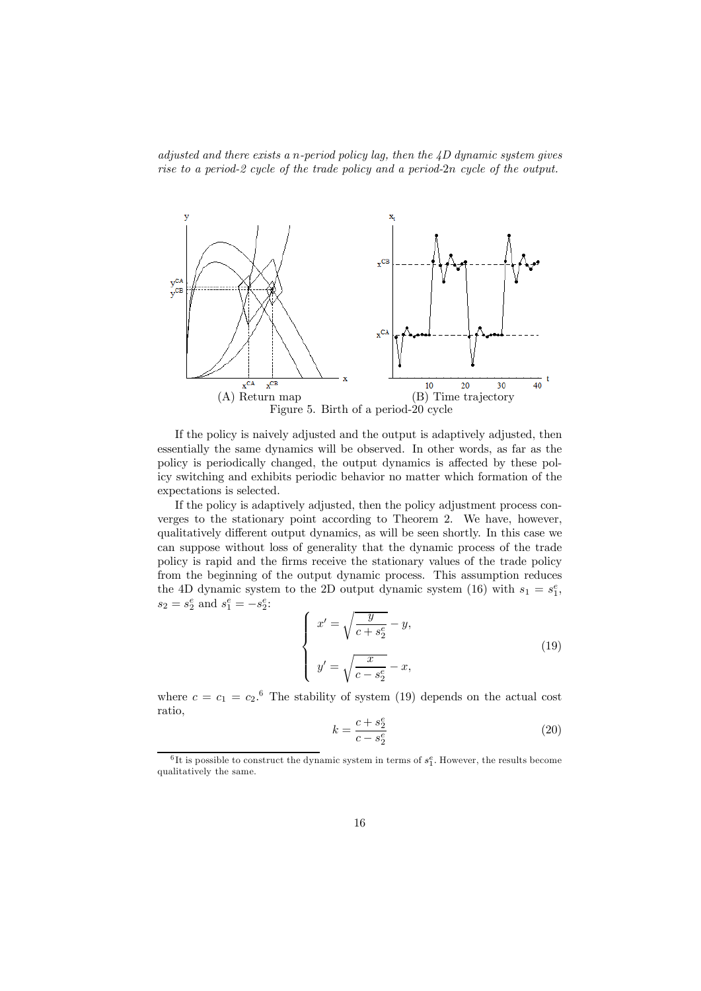adjusted and there exists a n-period policy lag, then the  $4D$  dynamic system gives rise to a period-2 cycle of the trade policy and a period-2n cycle of the output.



If the policy is naively adjusted and the output is adaptively adjusted, then essentially the same dynamics will be observed. In other words, as far as the policy is periodically changed, the output dynamics is affected by these policy switching and exhibits periodic behavior no matter which formation of the expectations is selected.

If the policy is adaptively adjusted, then the policy adjustment process converges to the stationary point according to Theorem 2. We have, however, qualitatively different output dynamics, as will be seen shortly. In this case we can suppose without loss of generality that the dynamic process of the trade policy is rapid and the firms receive the stationary values of the trade policy from the beginning of the output dynamic process. This assumption reduces the 4D dynamic system to the 2D output dynamic system (16) with  $s_1 = s_1^e$ ,  $s_2 = s_2^e$  and  $s_1^e = -s_2^e$ :

$$
\begin{cases}\nx' = \sqrt{\frac{y}{c + s_2^e}} - y, \\
y' = \sqrt{\frac{x}{c - s_2^e}} - x,\n\end{cases}
$$
\n(19)

where  $c = c_1 = c_2$ <sup>6</sup>. The stability of system (19) depends on the actual cost ratio,

$$
k = \frac{c + s_2^e}{c - s_2^e} \tag{20}
$$

 ${}^{6}$ It is possible to construct the dynamic system in terms of  $s_1^e$ . However, the results become qualitatively the same.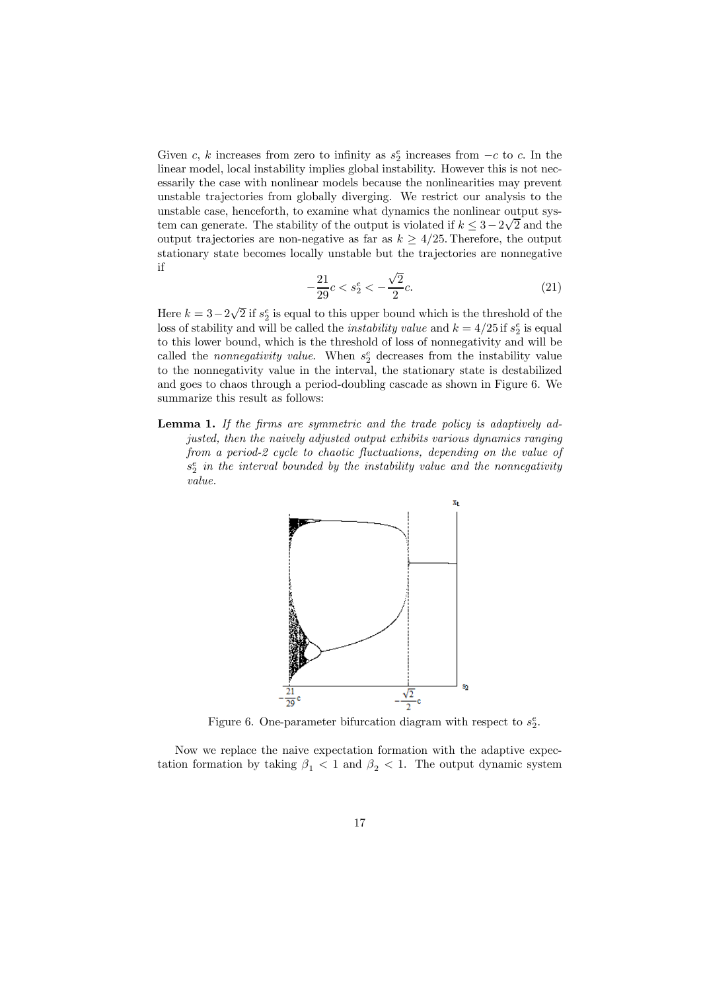Given c, k increases from zero to infinity as  $s_2^e$  increases from  $-c$  to c. In the linear model, local instability implies global instability. However this is not necessarily the case with nonlinear models because the nonlinearities may prevent unstable trajectories from globally diverging. We restrict our analysis to the unstable case, henceforth, to examine what dynamics the nonlinear output system can generate. The stability of the output is violated if  $k \leq 3-2\sqrt{2}$  and the output trajectories are non-negative as far as  $k > 4/25$ . Therefore, the output stationary state becomes locally unstable but the trajectories are nonnegative if

$$
-\frac{21}{29}c < s_2^e < -\frac{\sqrt{2}}{2}c. \tag{21}
$$

Here  $k = 3-2\sqrt{2}$  if  $s_2^e$  is equal to this upper bound which is the threshold of the loss of stability and will be called the *instability value* and  $k = 4/25$  if  $s_2^e$  is equal to this lower bound, which is the threshold of loss of nonnegativity and will be called the *nonnegativity value*. When  $s_2^e$  decreases from the instability value to the nonnegativity value in the interval, the stationary state is destabilized and goes to chaos through a period-doubling cascade as shown in Figure 6. We summarize this result as follows:

Lemma 1. If the firms are symmetric and the trade policy is adaptively adjusted, then the naively adjusted output exhibits various dynamics ranging from a period-2 cycle to chaotic fluctuations, depending on the value of  $s_2^e$  in the interval bounded by the instability value and the nonnegativity value.



Figure 6. One-parameter bifurcation diagram with respect to  $s_2^e$ .

Now we replace the naive expectation formation with the adaptive expectation formation by taking  $\beta_1$  < 1 and  $\beta_2$  < 1. The output dynamic system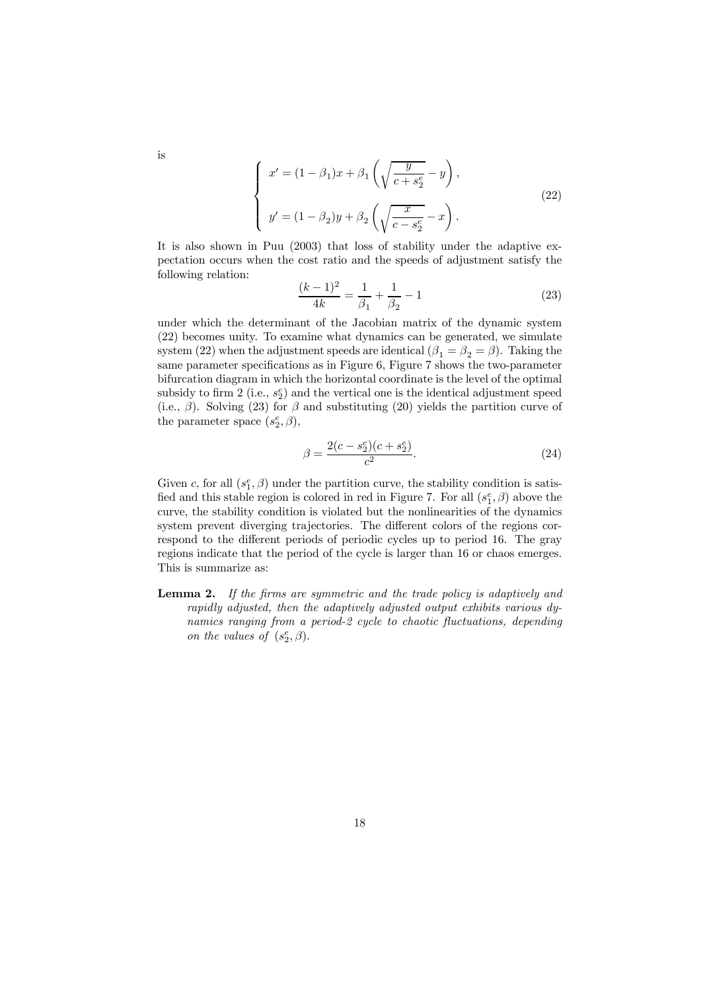$$
\begin{cases}\nx' = (1 - \beta_1)x + \beta_1 \left( \sqrt{\frac{y}{c + s_2^e}} - y \right), \\
y' = (1 - \beta_2)y + \beta_2 \left( \sqrt{\frac{x}{c - s_2^e}} - x \right).\n\end{cases}
$$
\n(22)

It is also shown in Puu (2003) that loss of stability under the adaptive expectation occurs when the cost ratio and the speeds of adjustment satisfy the following relation:

$$
\frac{(k-1)^2}{4k} = \frac{1}{\beta_1} + \frac{1}{\beta_2} - 1\tag{23}
$$

under which the determinant of the Jacobian matrix of the dynamic system (22) becomes unity. To examine what dynamics can be generated, we simulate system (22) when the adjustment speeds are identical ( $\beta_1 = \beta_2 = \beta$ ). Taking the same parameter specifications as in Figure 6, Figure 7 shows the two-parameter bifurcation diagram in which the horizontal coordinate is the level of the optimal subsidy to firm 2 (i.e.,  $s_2^e$ ) and the vertical one is the identical adjustment speed (i.e.,  $\beta$ ). Solving (23) for  $\beta$  and substituting (20) yields the partition curve of the parameter space  $(s_2^e, \beta)$ ,

$$
\beta = \frac{2(c - s_2^e)(c + s_2^e)}{c^2}.
$$
\n(24)

Given c, for all  $(s_1^e, \beta)$  under the partition curve, the stability condition is satisfied and this stable region is colored in red in Figure 7. For all  $(s_1^e, \beta)$  above the curve, the stability condition is violated but the nonlinearities of the dynamics system prevent diverging trajectories. The different colors of the regions correspond to the different periods of periodic cycles up to period 16. The gray regions indicate that the period of the cycle is larger than 16 or chaos emerges. This is summarize as:

**Lemma 2.** If the firms are symmetric and the trade policy is adaptively and rapidly adjusted, then the adaptively adjusted output exhibits various dynamics ranging from a period-2 cycle to chaotic fluctuations, depending on the values of  $(s_2^e, \beta)$ .

is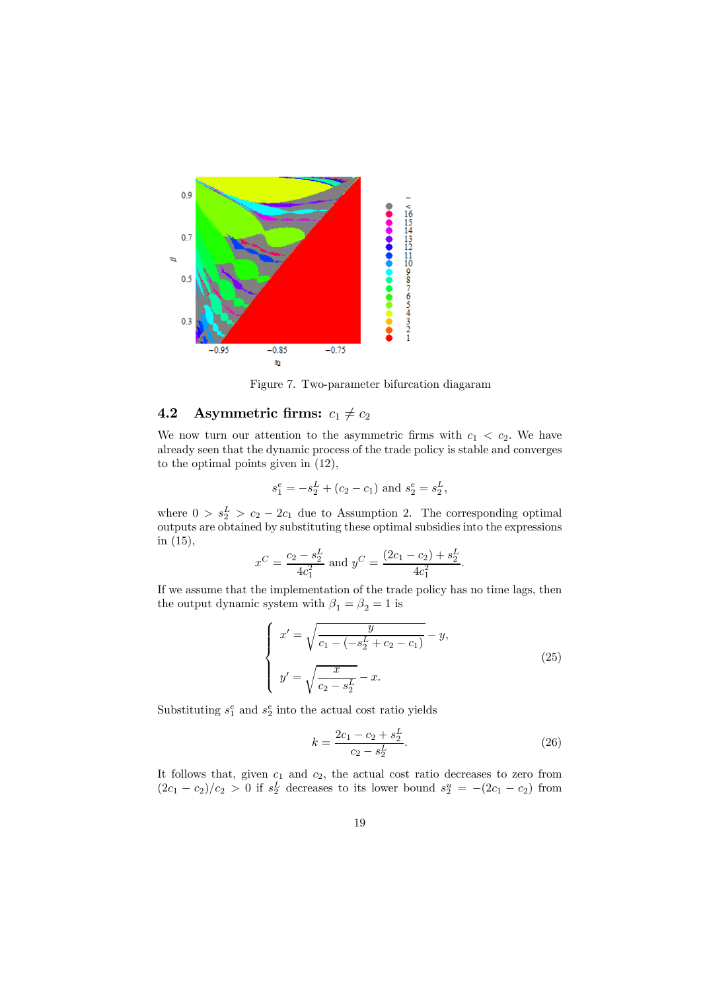

Figure 7. Two-parameter bifurcation diagaram

# 4.2 Asymmetric firms:  $c_1 \neq c_2$

We now turn our attention to the asymmetric firms with  $c_1 < c_2$ . We have already seen that the dynamic process of the trade policy is stable and converges to the optimal points given in (12),

$$
s_1^e = -s_2^L + (c_2 - c_1)
$$
 and  $s_2^e = s_2^L$ ,

where  $0 > s_2^L > c_2 - 2c_1$  due to Assumption 2. The corresponding optimal outputs are obtained by substituting these optimal subsidies into the expressions in (15),

$$
x^C = \frac{c_2 - s_2^L}{4c_1^2}
$$
 and  $y^C = \frac{(2c_1 - c_2) + s_2^L}{4c_1^2}$ .

If we assume that the implementation of the trade policy has no time lags, then the output dynamic system with  $\beta_1=\beta_2=1$  is

$$
\begin{cases}\nx' = \sqrt{\frac{y}{c_1 - (-s_2^L + c_2 - c_1)}} - y, \\
y' = \sqrt{\frac{x}{c_2 - s_2^L}} - x.\n\end{cases}
$$
\n(25)

Substituting  $s_1^e$  and  $s_2^e$  into the actual cost ratio yields

$$
k = \frac{2c_1 - c_2 + s_2^L}{c_2 - s_2^L}.\tag{26}
$$

It follows that, given  $c_1$  and  $c_2$ , the actual cost ratio decreases to zero from  $(2c_1 - c_2)/c_2 > 0$  if  $s_2^L$  decreases to its lower bound  $s_2^u = -(2c_1 - c_2)$  from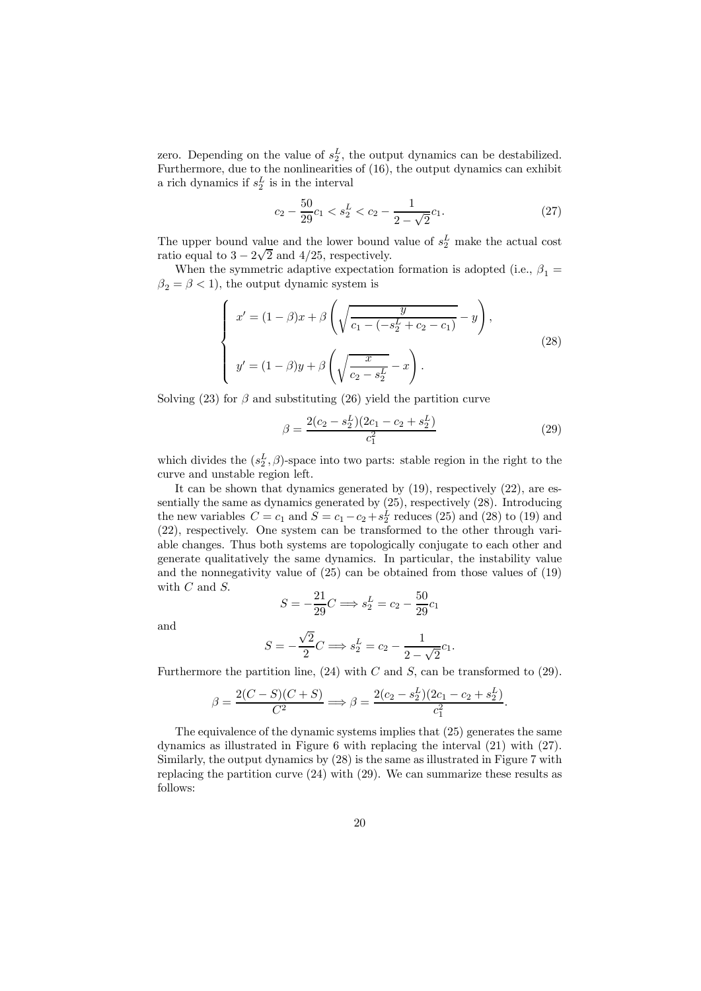zero. Depending on the value of  $s_2^L$ , the output dynamics can be destabilized. Furthermore, due to the nonlinearities of (16), the output dynamics can exhibit a rich dynamics if  $s_2^L$  is in the interval

$$
c_2 - \frac{50}{29}c_1 < s_2^L < c_2 - \frac{1}{2 - \sqrt{2}}c_1. \tag{27}
$$

The upper bound value and the lower bound value of  $s_2^L$  make the actual cost ratio equal to  $3 - 2\sqrt{2}$  and  $4/25$ , respectively.

When the symmetric adaptive expectation formation is adopted (i.e.,  $\beta_1 =$  $\beta_2 = \beta < 1$ , the output dynamic system is

$$
\begin{cases}\nx' = (1 - \beta)x + \beta \left( \sqrt{\frac{y}{c_1 - (-s_2^L + c_2 - c_1)}} - y \right), \\
y' = (1 - \beta)y + \beta \left( \sqrt{\frac{x}{c_2 - s_2^L}} - x \right).\n\end{cases} (28)
$$

Solving (23) for  $\beta$  and substituting (26) yield the partition curve

$$
\beta = \frac{2(c_2 - s_2^L)(2c_1 - c_2 + s_2^L)}{c_1^2} \tag{29}
$$

which divides the  $(s_2^L, \beta)$ -space into two parts: stable region in the right to the curve and unstable region left.

It can be shown that dynamics generated by (19), respectively (22), are essentially the same as dynamics generated by  $(25)$ , respectively  $(28)$ . Introducing the new variables  $C = c_1$  and  $S = c_1 - c_2 + s_2^L$  reduces (25) and (28) to (19) and (22), respectively. One system can be transformed to the other through variable changes. Thus both systems are topologically conjugate to each other and generate qualitatively the same dynamics. In particular, the instability value and the nonnegativity value of (25) can be obtained from those values of (19) with  $C$  and  $S$ .

$$
S = -\frac{21}{29}C \Longrightarrow s_2^L = c_2 - \frac{50}{29}c_1
$$

and

$$
S = -\frac{\sqrt{2}}{2}C \Longrightarrow s_2^L = c_2 - \frac{1}{2 - \sqrt{2}}c_1.
$$

Furthermore the partition line,  $(24)$  with C and S, can be transformed to  $(29)$ .

$$
\beta = \frac{2(C - S)(C + S)}{C^2} \Longrightarrow \beta = \frac{2(c_2 - s_2^L)(2c_1 - c_2 + s_2^L)}{c_1^2}.
$$

The equivalence of the dynamic systems implies that (25) generates the same dynamics as illustrated in Figure 6 with replacing the interval (21) with (27). Similarly, the output dynamics by (28) is the same as illustrated in Figure 7 with replacing the partition curve (24) with (29). We can summarize these results as follows: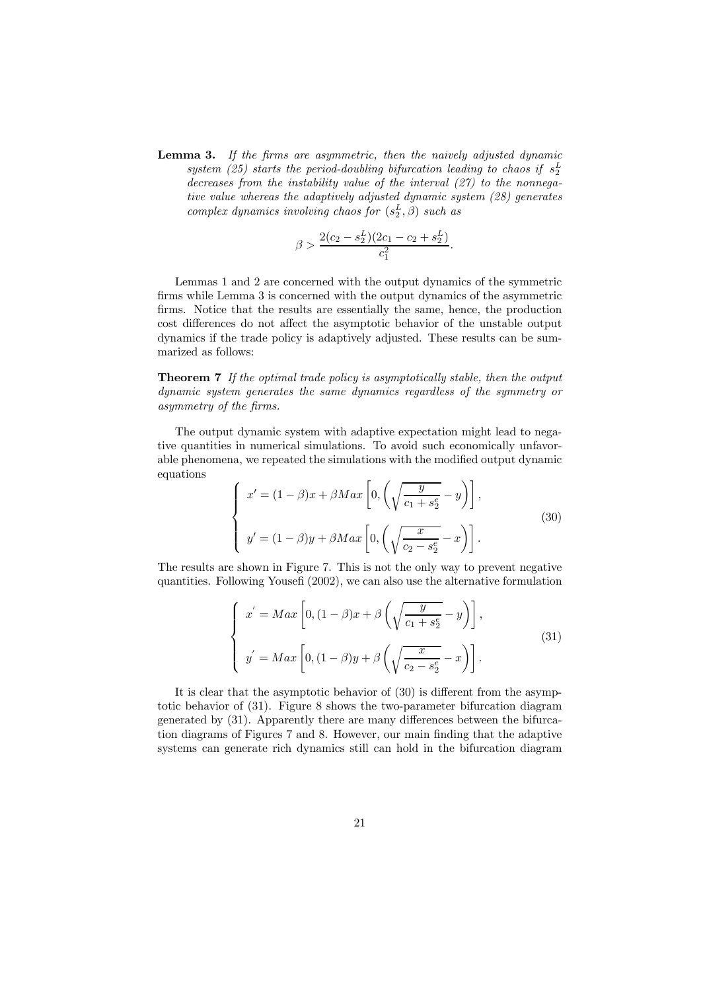Lemma 3. If the firms are asymmetric, then the naively adjusted dynamic system (25) starts the period-doubling bifurcation leading to chaos if  $s_2^L$ decreases from the instability value of the interval  $(27)$  to the nonnegative value whereas the adaptively adjusted dynamic system (28) generates complex dynamics involving chaos for  $(s_2^L, \beta)$  such as

$$
\beta > \frac{2(c_2 - s_2^L)(2c_1 - c_2 + s_2^L)}{c_1^2}
$$

.

Lemmas 1 and 2 are concerned with the output dynamics of the symmetric firms while Lemma 3 is concerned with the output dynamics of the asymmetric firms. Notice that the results are essentially the same, hence, the production cost differences do not affect the asymptotic behavior of the unstable output dynamics if the trade policy is adaptively adjusted. These results can be summarized as follows:

Theorem 7 If the optimal trade policy is asymptotically stable, then the output dynamic system generates the same dynamics regardless of the symmetry or asymmetry of the firms.

The output dynamic system with adaptive expectation might lead to negative quantities in numerical simulations. To avoid such economically unfavorable phenomena, we repeated the simulations with the modified output dynamic equations

$$
\begin{cases}\nx' = (1 - \beta)x + \beta Max \left[ 0, \left( \sqrt{\frac{y}{c_1 + s_2^e}} - y \right) \right], \\
y' = (1 - \beta)y + \beta Max \left[ 0, \left( \sqrt{\frac{x}{c_2 - s_2^e}} - x \right) \right].\n\end{cases} \tag{30}
$$

The results are shown in Figure 7. This is not the only way to prevent negative quantities. Following Yousefi (2002), we can also use the alternative formulation

$$
\begin{cases}\nx' = Max \left[0, (1 - \beta)x + \beta \left(\sqrt{\frac{y}{c_1 + s_2^e}} - y\right)\right], \\
y' = Max \left[0, (1 - \beta)y + \beta \left(\sqrt{\frac{x}{c_2 - s_2^e}} - x\right)\right].\n\end{cases} \tag{31}
$$

It is clear that the asymptotic behavior of (30) is different from the asymptotic behavior of (31). Figure 8 shows the two-parameter bifurcation diagram generated by (31). Apparently there are many differences between the bifurcation diagrams of Figures 7 and 8. However, our main finding that the adaptive systems can generate rich dynamics still can hold in the bifurcation diagram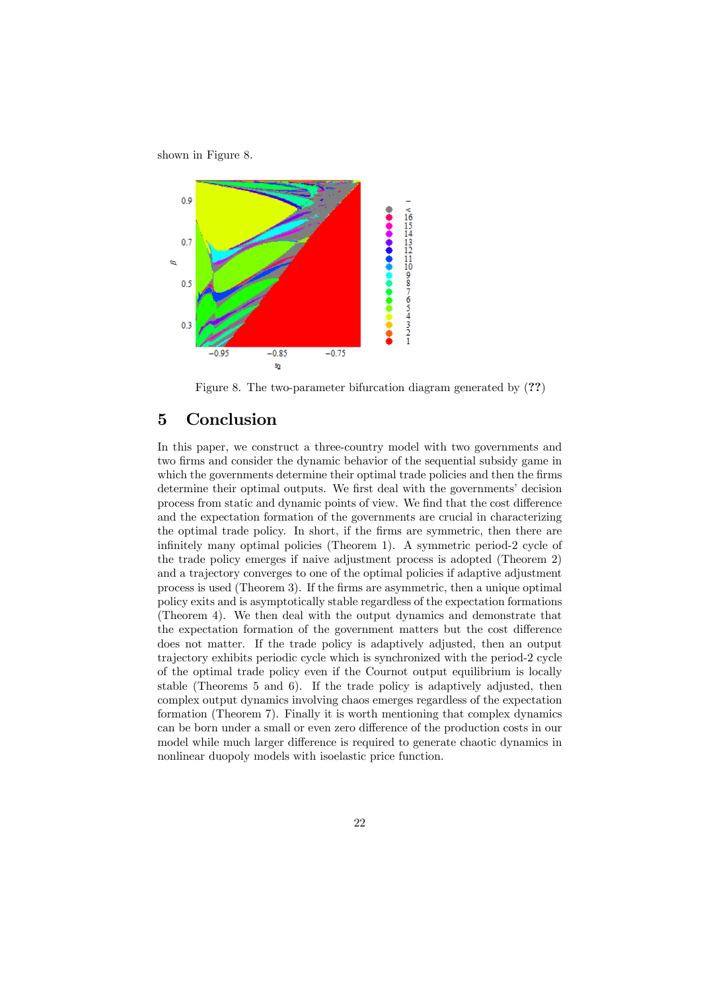shown in Figure 8.



Figure 8. The two-parameter bifurcation diagram generated by (??)

## 5 Conclusion

In this paper, we construct a three-country model with two governments and two firms and consider the dynamic behavior of the sequential subsidy game in which the governments determine their optimal trade policies and then the firms determine their optimal outputs. We first deal with the governments' decision process from static and dynamic points of view. We find that the cost difference and the expectation formation of the governments are crucial in characterizing the optimal trade policy. In short, if the firms are symmetric, then there are infinitely many optimal policies (Theorem 1). A symmetric period-2 cycle of the trade policy emerges if naive adjustment process is adopted (Theorem 2) and a trajectory converges to one of the optimal policies if adaptive adjustment process is used (Theorem 3). If the firms are asymmetric, then a unique optimal policy exits and is asymptotically stable regardless of the expectation formations (Theorem 4). We then deal with the output dynamics and demonstrate that the expectation formation of the government matters but the cost difference does not matter. If the trade policy is adaptively adjusted, then an output trajectory exhibits periodic cycle which is synchronized with the period-2 cycle of the optimal trade policy even if the Cournot output equilibrium is locally stable (Theorems 5 and 6). If the trade policy is adaptively adjusted, then complex output dynamics involving chaos emerges regardless of the expectation formation (Theorem 7). Finally it is worth mentioning that complex dynamics can be born under a small or even zero difference of the production costs in our model while much larger difference is required to generate chaotic dynamics in nonlinear duopoly models with isoelastic price function.